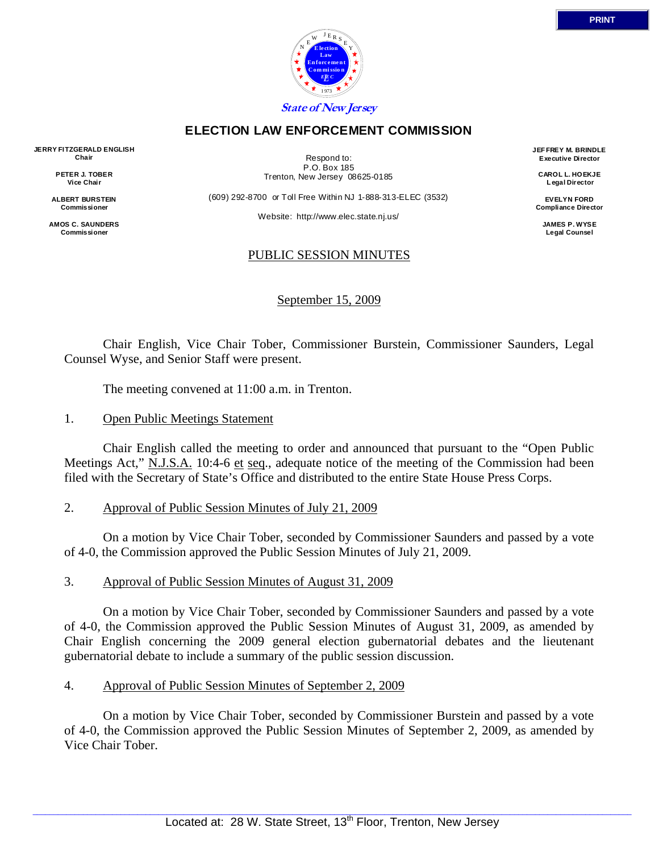

## **ELECTION LAW ENFORCEMENT COMMISSION**

**JERRY FITZGERALD ENGLISH Chair** 

> **PETER J. TOBER Vice Chair**

**ALBERT BURSTEIN Commissioner** 

**AMOS C. SAUNDERS Commissioner** 

Respond to: P.O. Box 185 Trenton, New Jersey 08625-0185

(609) 292-8700 or Toll Free Within NJ 1-888-313-ELEC (3532)

Website: http://www.elec.state.nj.us/

**JEF FREY M. BRINDLE Executive Director** 

> **CAROL L. HOEKJE L egal Director**

**EVELYN FORD Compliance Director** 

> **JAMES P. WYSE Legal Counsel**

# PUBLIC SESSION MINUTES

September 15, 2009

 Chair English, Vice Chair Tober, Commissioner Burstein, Commissioner Saunders, Legal Counsel Wyse, and Senior Staff were present.

The meeting convened at 11:00 a.m. in Trenton.

# 1. Open Public Meetings Statement

 Chair English called the meeting to order and announced that pursuant to the "Open Public Meetings Act," N.J.S.A. 10:4-6 et seq., adequate notice of the meeting of the Commission had been filed with the Secretary of State's Office and distributed to the entire State House Press Corps.

# 2. Approval of Public Session Minutes of July 21, 2009

 On a motion by Vice Chair Tober, seconded by Commissioner Saunders and passed by a vote of 4-0, the Commission approved the Public Session Minutes of July 21, 2009.

## 3. Approval of Public Session Minutes of August 31, 2009

 On a motion by Vice Chair Tober, seconded by Commissioner Saunders and passed by a vote of 4-0, the Commission approved the Public Session Minutes of August 31, 2009, as amended by Chair English concerning the 2009 general election gubernatorial debates and the lieutenant gubernatorial debate to include a summary of the public session discussion.

## 4. Approval of Public Session Minutes of September 2, 2009

 On a motion by Vice Chair Tober, seconded by Commissioner Burstein and passed by a vote of 4-0, the Commission approved the Public Session Minutes of September 2, 2009, as amended by Vice Chair Tober.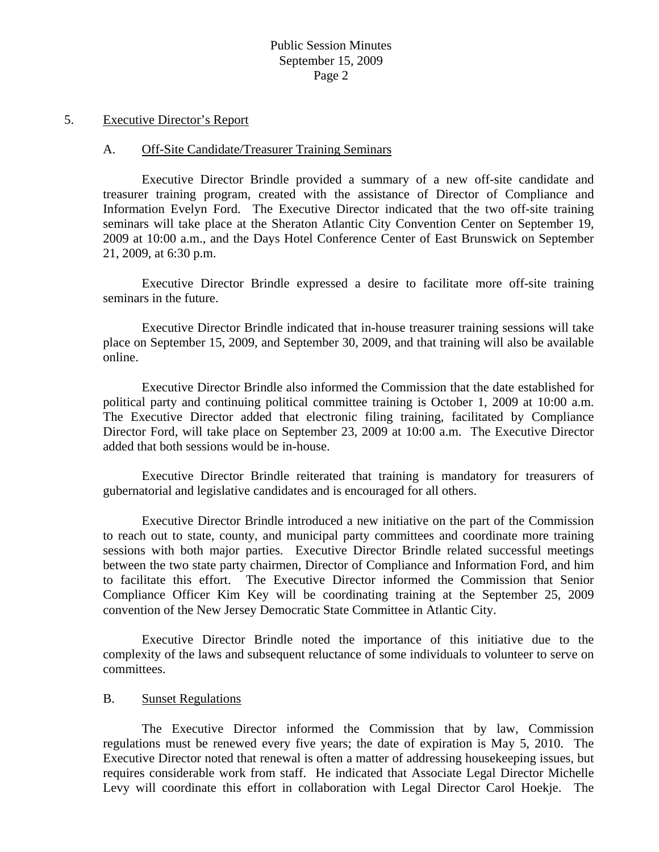#### 5. Executive Director's Report

#### A. Off-Site Candidate/Treasurer Training Seminars

 Executive Director Brindle provided a summary of a new off-site candidate and treasurer training program, created with the assistance of Director of Compliance and Information Evelyn Ford. The Executive Director indicated that the two off-site training seminars will take place at the Sheraton Atlantic City Convention Center on September 19, 2009 at 10:00 a.m., and the Days Hotel Conference Center of East Brunswick on September 21, 2009, at 6:30 p.m.

 Executive Director Brindle expressed a desire to facilitate more off-site training seminars in the future.

 Executive Director Brindle indicated that in-house treasurer training sessions will take place on September 15, 2009, and September 30, 2009, and that training will also be available online.

 Executive Director Brindle also informed the Commission that the date established for political party and continuing political committee training is October 1, 2009 at 10:00 a.m. The Executive Director added that electronic filing training, facilitated by Compliance Director Ford, will take place on September 23, 2009 at 10:00 a.m. The Executive Director added that both sessions would be in-house.

 Executive Director Brindle reiterated that training is mandatory for treasurers of gubernatorial and legislative candidates and is encouraged for all others.

 Executive Director Brindle introduced a new initiative on the part of the Commission to reach out to state, county, and municipal party committees and coordinate more training sessions with both major parties. Executive Director Brindle related successful meetings between the two state party chairmen, Director of Compliance and Information Ford, and him to facilitate this effort. The Executive Director informed the Commission that Senior Compliance Officer Kim Key will be coordinating training at the September 25, 2009 convention of the New Jersey Democratic State Committee in Atlantic City.

 Executive Director Brindle noted the importance of this initiative due to the complexity of the laws and subsequent reluctance of some individuals to volunteer to serve on committees.

## B. Sunset Regulations

 The Executive Director informed the Commission that by law, Commission regulations must be renewed every five years; the date of expiration is May 5, 2010. The Executive Director noted that renewal is often a matter of addressing housekeeping issues, but requires considerable work from staff. He indicated that Associate Legal Director Michelle Levy will coordinate this effort in collaboration with Legal Director Carol Hoekje. The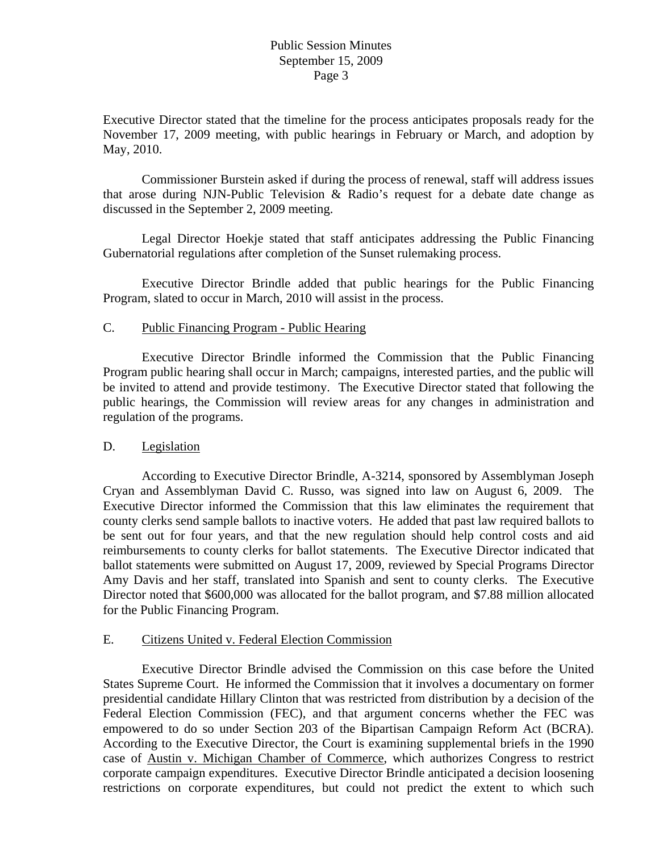Executive Director stated that the timeline for the process anticipates proposals ready for the November 17, 2009 meeting, with public hearings in February or March, and adoption by May, 2010.

 Commissioner Burstein asked if during the process of renewal, staff will address issues that arose during NJN-Public Television & Radio's request for a debate date change as discussed in the September 2, 2009 meeting.

 Legal Director Hoekje stated that staff anticipates addressing the Public Financing Gubernatorial regulations after completion of the Sunset rulemaking process.

 Executive Director Brindle added that public hearings for the Public Financing Program, slated to occur in March, 2010 will assist in the process.

## C. Public Financing Program - Public Hearing

 Executive Director Brindle informed the Commission that the Public Financing Program public hearing shall occur in March; campaigns, interested parties, and the public will be invited to attend and provide testimony. The Executive Director stated that following the public hearings, the Commission will review areas for any changes in administration and regulation of the programs.

## D. Legislation

 According to Executive Director Brindle, A-3214, sponsored by Assemblyman Joseph Cryan and Assemblyman David C. Russo, was signed into law on August 6, 2009. The Executive Director informed the Commission that this law eliminates the requirement that county clerks send sample ballots to inactive voters. He added that past law required ballots to be sent out for four years, and that the new regulation should help control costs and aid reimbursements to county clerks for ballot statements. The Executive Director indicated that ballot statements were submitted on August 17, 2009, reviewed by Special Programs Director Amy Davis and her staff, translated into Spanish and sent to county clerks. The Executive Director noted that \$600,000 was allocated for the ballot program, and \$7.88 million allocated for the Public Financing Program.

## E. Citizens United v. Federal Election Commission

 Executive Director Brindle advised the Commission on this case before the United States Supreme Court. He informed the Commission that it involves a documentary on former presidential candidate Hillary Clinton that was restricted from distribution by a decision of the Federal Election Commission (FEC), and that argument concerns whether the FEC was empowered to do so under Section 203 of the Bipartisan Campaign Reform Act (BCRA). According to the Executive Director, the Court is examining supplemental briefs in the 1990 case of Austin v. Michigan Chamber of Commerce, which authorizes Congress to restrict corporate campaign expenditures. Executive Director Brindle anticipated a decision loosening restrictions on corporate expenditures, but could not predict the extent to which such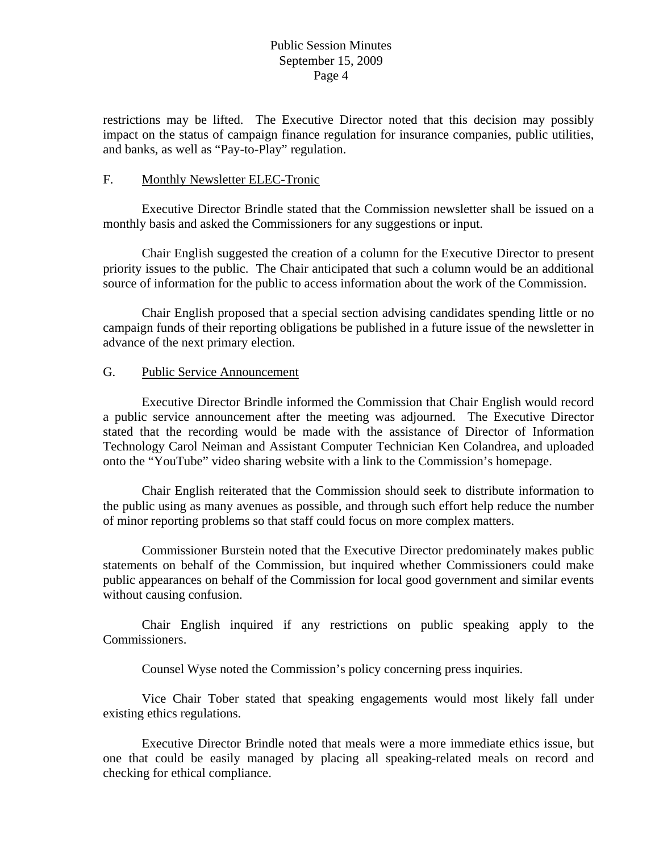restrictions may be lifted. The Executive Director noted that this decision may possibly impact on the status of campaign finance regulation for insurance companies, public utilities, and banks, as well as "Pay-to-Play" regulation.

#### F. Monthly Newsletter ELEC-Tronic

 Executive Director Brindle stated that the Commission newsletter shall be issued on a monthly basis and asked the Commissioners for any suggestions or input.

 Chair English suggested the creation of a column for the Executive Director to present priority issues to the public. The Chair anticipated that such a column would be an additional source of information for the public to access information about the work of the Commission.

 Chair English proposed that a special section advising candidates spending little or no campaign funds of their reporting obligations be published in a future issue of the newsletter in advance of the next primary election.

## G. Public Service Announcement

 Executive Director Brindle informed the Commission that Chair English would record a public service announcement after the meeting was adjourned. The Executive Director stated that the recording would be made with the assistance of Director of Information Technology Carol Neiman and Assistant Computer Technician Ken Colandrea, and uploaded onto the "YouTube" video sharing website with a link to the Commission's homepage.

 Chair English reiterated that the Commission should seek to distribute information to the public using as many avenues as possible, and through such effort help reduce the number of minor reporting problems so that staff could focus on more complex matters.

 Commissioner Burstein noted that the Executive Director predominately makes public statements on behalf of the Commission, but inquired whether Commissioners could make public appearances on behalf of the Commission for local good government and similar events without causing confusion.

 Chair English inquired if any restrictions on public speaking apply to the Commissioners.

Counsel Wyse noted the Commission's policy concerning press inquiries.

 Vice Chair Tober stated that speaking engagements would most likely fall under existing ethics regulations.

 Executive Director Brindle noted that meals were a more immediate ethics issue, but one that could be easily managed by placing all speaking-related meals on record and checking for ethical compliance.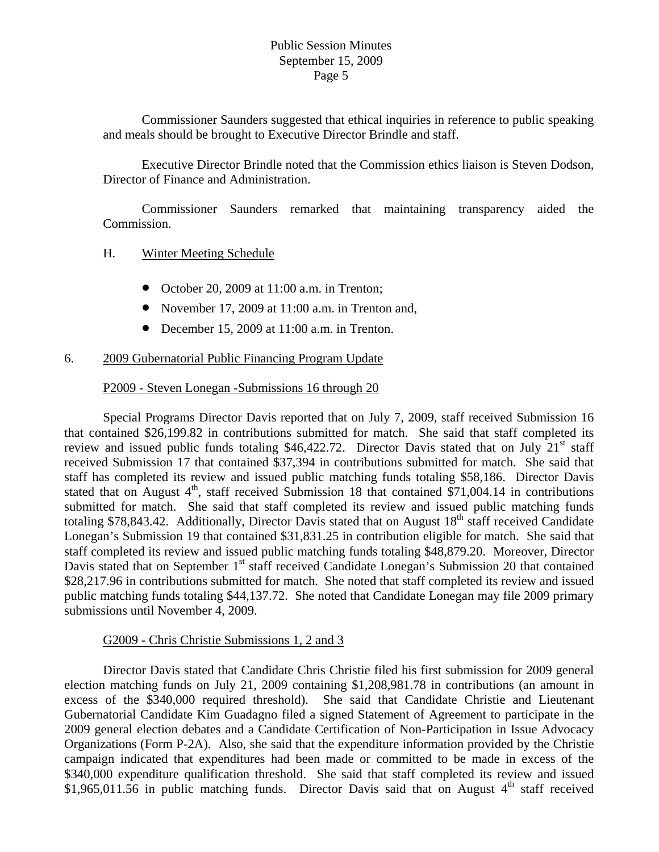Commissioner Saunders suggested that ethical inquiries in reference to public speaking and meals should be brought to Executive Director Brindle and staff.

 Executive Director Brindle noted that the Commission ethics liaison is Steven Dodson, Director of Finance and Administration.

 Commissioner Saunders remarked that maintaining transparency aided the Commission.

## H. Winter Meeting Schedule

- October 20, 2009 at 11:00 a.m. in Trenton;
- November 17, 2009 at 11:00 a.m. in Trenton and,
- December 15, 2009 at 11:00 a.m. in Trenton.

## 6. 2009 Gubernatorial Public Financing Program Update

## P2009 - Steven Lonegan -Submissions 16 through 20

 Special Programs Director Davis reported that on July 7, 2009, staff received Submission 16 that contained \$26,199.82 in contributions submitted for match. She said that staff completed its review and issued public funds totaling \$46,422.72. Director Davis stated that on July  $21<sup>st</sup>$  staff received Submission 17 that contained \$37,394 in contributions submitted for match. She said that staff has completed its review and issued public matching funds totaling \$58,186. Director Davis stated that on August  $4<sup>th</sup>$ , staff received Submission 18 that contained \$71,004.14 in contributions submitted for match. She said that staff completed its review and issued public matching funds totaling \$78,843.42. Additionally, Director Davis stated that on August  $18<sup>th</sup>$  staff received Candidate Lonegan's Submission 19 that contained \$31,831.25 in contribution eligible for match. She said that staff completed its review and issued public matching funds totaling \$48,879.20. Moreover, Director Davis stated that on September  $1<sup>st</sup>$  staff received Candidate Lonegan's Submission 20 that contained \$28,217.96 in contributions submitted for match. She noted that staff completed its review and issued public matching funds totaling \$44,137.72. She noted that Candidate Lonegan may file 2009 primary submissions until November 4, 2009.

#### G2009 **-** Chris Christie Submissions 1, 2 and 3

 Director Davis stated that Candidate Chris Christie filed his first submission for 2009 general election matching funds on July 21, 2009 containing \$1,208,981.78 in contributions (an amount in excess of the \$340,000 required threshold). She said that Candidate Christie and Lieutenant Gubernatorial Candidate Kim Guadagno filed a signed Statement of Agreement to participate in the 2009 general election debates and a Candidate Certification of Non-Participation in Issue Advocacy Organizations (Form P-2A). Also, she said that the expenditure information provided by the Christie campaign indicated that expenditures had been made or committed to be made in excess of the \$340,000 expenditure qualification threshold. She said that staff completed its review and issued \$1,965,011.56 in public matching funds. Director Davis said that on August  $4<sup>th</sup>$  staff received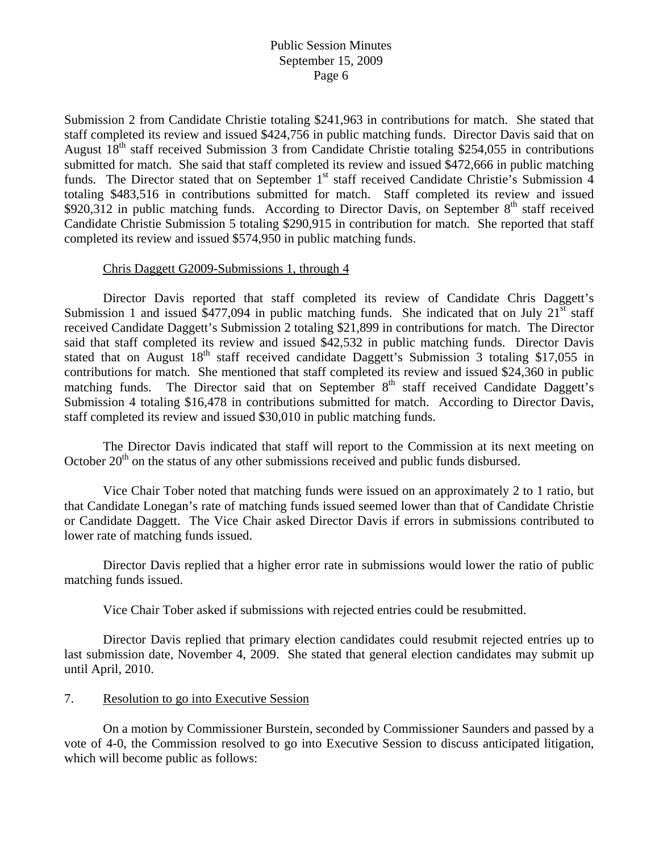Submission 2 from Candidate Christie totaling \$241,963 in contributions for match. She stated that staff completed its review and issued \$424,756 in public matching funds. Director Davis said that on August  $18<sup>th</sup>$  staff received Submission 3 from Candidate Christie totaling \$254,055 in contributions submitted for match. She said that staff completed its review and issued \$472,666 in public matching funds. The Director stated that on September 1<sup>st</sup> staff received Candidate Christie's Submission 4 totaling \$483,516 in contributions submitted for match. Staff completed its review and issued \$920,312 in public matching funds. According to Director Davis, on September  $8<sup>th</sup>$  staff received Candidate Christie Submission 5 totaling \$290,915 in contribution for match. She reported that staff completed its review and issued \$574,950 in public matching funds.

#### Chris Daggett G2009-Submissions 1, through 4

 Director Davis reported that staff completed its review of Candidate Chris Daggett's Submission 1 and issued \$477,094 in public matching funds. She indicated that on July  $21<sup>st</sup>$  staff received Candidate Daggett's Submission 2 totaling \$21,899 in contributions for match. The Director said that staff completed its review and issued \$42,532 in public matching funds. Director Davis stated that on August  $18<sup>th</sup>$  staff received candidate Daggett's Submission 3 totaling \$17,055 in contributions for match. She mentioned that staff completed its review and issued \$24,360 in public matching funds. The Director said that on September  $8<sup>th</sup>$  staff received Candidate Daggett's Submission 4 totaling \$16,478 in contributions submitted for match. According to Director Davis, staff completed its review and issued \$30,010 in public matching funds.

 The Director Davis indicated that staff will report to the Commission at its next meeting on October  $20<sup>th</sup>$  on the status of any other submissions received and public funds disbursed.

 Vice Chair Tober noted that matching funds were issued on an approximately 2 to 1 ratio, but that Candidate Lonegan's rate of matching funds issued seemed lower than that of Candidate Christie or Candidate Daggett. The Vice Chair asked Director Davis if errors in submissions contributed to lower rate of matching funds issued.

 Director Davis replied that a higher error rate in submissions would lower the ratio of public matching funds issued.

Vice Chair Tober asked if submissions with rejected entries could be resubmitted.

 Director Davis replied that primary election candidates could resubmit rejected entries up to last submission date, November 4, 2009. She stated that general election candidates may submit up until April, 2010.

## 7. Resolution to go into Executive Session

 On a motion by Commissioner Burstein, seconded by Commissioner Saunders and passed by a vote of 4-0, the Commission resolved to go into Executive Session to discuss anticipated litigation, which will become public as follows: